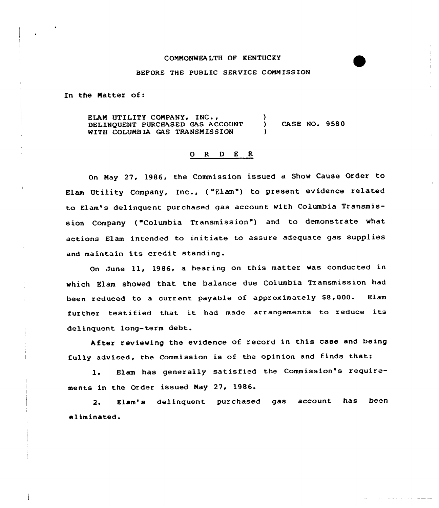## CONNONWEA LTH OF KENTUCKY

## BEFORE THE PUBLIC SERVICE CONNISSION

In the Natter of:

ELAM UTILITY COMPANY, INC., DELINQUENT PURCHASED GAS ACCOUNT WITH COLUMBIA GAS TRANSMISSION  $\lambda$ CASE NO. 9580 )

## 0 <sup>R</sup> <sup>D</sup> <sup>E</sup> R

On Nay 27, 1986, the Commission issued <sup>a</sup> Show Cause Order to Elam Utility Company, Inc., ("Elam") to present evidence related to Elam's delinquent pur chased gas account with Columbia Transmission Company ("Columbia Transmission") and to demonstrate what actions Elam intended to initiate to assure adequate gas supplies and maintain its credit standing.

On June ll, 1986, <sup>a</sup> hearing on this matter was conducted in which Elam showed that the balance due Columbia Transmission had been reduced to a current payable of approximately \$8,000. Elam further testified that it had made arrangements to reduce its delinquent long-term debt.

After reviewing the evidence of record in this case and being fully advised, the Commission is of the opinion and finds that:

1. Elam has generally satisfied the Commission's requirements in the Order issued Nay 27, 1986.

2. Elam's delinquent purchased gas account has been eliminated.